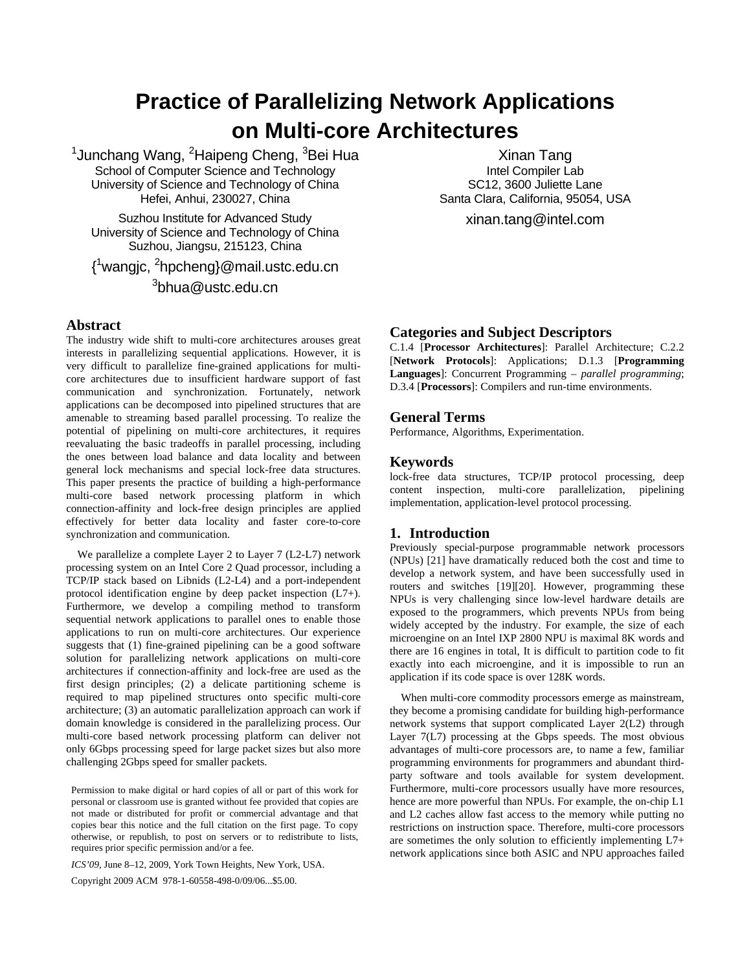# **Practice of Parallelizing Network Applications on Multi-core Architectures**

<sup>1</sup>Junchang Wang, <sup>2</sup>Haipeng Cheng, <sup>3</sup>Bei Hua School of Computer Science and Technology University of Science and Technology of China Hefei, Anhui, 230027, China

Suzhou Institute for Advanced Study University of Science and Technology of China Suzhou, Jiangsu, 215123, China

{ 1 wangjc, 2 hpcheng}@mail.ustc.edu.cn  $^3$ bhua@ustc.edu.cn

# **Abstract**

The industry wide shift to multi-core architectures arouses great interests in parallelizing sequential applications. However, it is very difficult to parallelize fine-grained applications for multicore architectures due to insufficient hardware support of fast communication and synchronization. Fortunately, network applications can be decomposed into pipelined structures that are amenable to streaming based parallel processing. To realize the potential of pipelining on multi-core architectures, it requires reevaluating the basic tradeoffs in parallel processing, including the ones between load balance and data locality and between general lock mechanisms and special lock-free data structures. This paper presents the practice of building a high-performance multi-core based network processing platform in which connection-affinity and lock-free design principles are applied effectively for better data locality and faster core-to-core synchronization and communication.

 We parallelize a complete Layer 2 to Layer 7 (L2-L7) network processing system on an Intel Core 2 Quad processor, including a TCP/IP stack based on Libnids (L2-L4) and a port-independent protocol identification engine by deep packet inspection (L7+). Furthermore, we develop a compiling method to transform sequential network applications to parallel ones to enable those applications to run on multi-core architectures. Our experience suggests that (1) fine-grained pipelining can be a good software solution for parallelizing network applications on multi-core architectures if connection-affinity and lock-free are used as the first design principles; (2) a delicate partitioning scheme is required to map pipelined structures onto specific multi-core architecture; (3) an automatic parallelization approach can work if domain knowledge is considered in the parallelizing process. Our multi-core based network processing platform can deliver not only 6Gbps processing speed for large packet sizes but also more challenging 2Gbps speed for smaller packets.

Permission to make digital or hard copies of all or part of this work for personal or classroom use is granted without fee provided that copies are not made or distributed for profit or commercial advantage and that copies bear this notice and the full citation on the first page. To copy otherwise, or republish, to post on servers or to redistribute to lists, requires prior specific permission and/or a fee.

*ICS'09*, June 8–12, 2009, York Town Heights, New York, USA.

Copyright 2009 ACM 978-1-60558-498-0/09/06...\$5.00.

# **Categories and Subject Descriptors**

C.1.4 [**Processor Architectures**]: Parallel Architecture; C.2.2 [**Network Protocols**]: Applications; D.1.3 [**Programming Languages**]: Concurrent Programming – *parallel programming*; D.3.4 [**Processors**]: Compilers and run-time environments.

Xinan Tang Intel Compiler Lab SC12, 3600 Juliette Lane Santa Clara, California, 95054, USA xinan.tang@intel.com

### **General Terms**

Performance, Algorithms, Experimentation.

## **Keywords**

lock-free data structures, TCP/IP protocol processing, deep content inspection, multi-core parallelization, pipelining implementation, application-level protocol processing.

# **1. Introduction**

Previously special-purpose programmable network processors (NPUs) [\[21\]](#page-9-0) have dramatically reduced both the cost and time to develop a network system, and have been successfully used in routers and switches [\[19\]](#page-9-1)[\[20\].](#page-9-2) However, programming these NPUs is very challenging since low-level hardware details are exposed to the programmers, which prevents NPUs from being widely accepted by the industry. For example, the size of each microengine on an Intel IXP 2800 NPU is maximal 8K words and there are 16 engines in total, It is difficult to partition code to fit exactly into each microengine, and it is impossible to run an application if its code space is over 128K words.

 When multi-core commodity processors emerge as mainstream, they become a promising candidate for building high-performance network systems that support complicated Layer 2(L2) through Layer 7(L7) processing at the Gbps speeds. The most obvious advantages of multi-core processors are, to name a few, familiar programming environments for programmers and abundant thirdparty software and tools available for system development. Furthermore, multi-core processors usually have more resources, hence are more powerful than NPUs. For example, the on-chip L1 and L2 caches allow fast access to the memory while putting no restrictions on instruction space. Therefore, multi-core processors are sometimes the only solution to efficiently implementing L7+ network applications since both ASIC and NPU approaches failed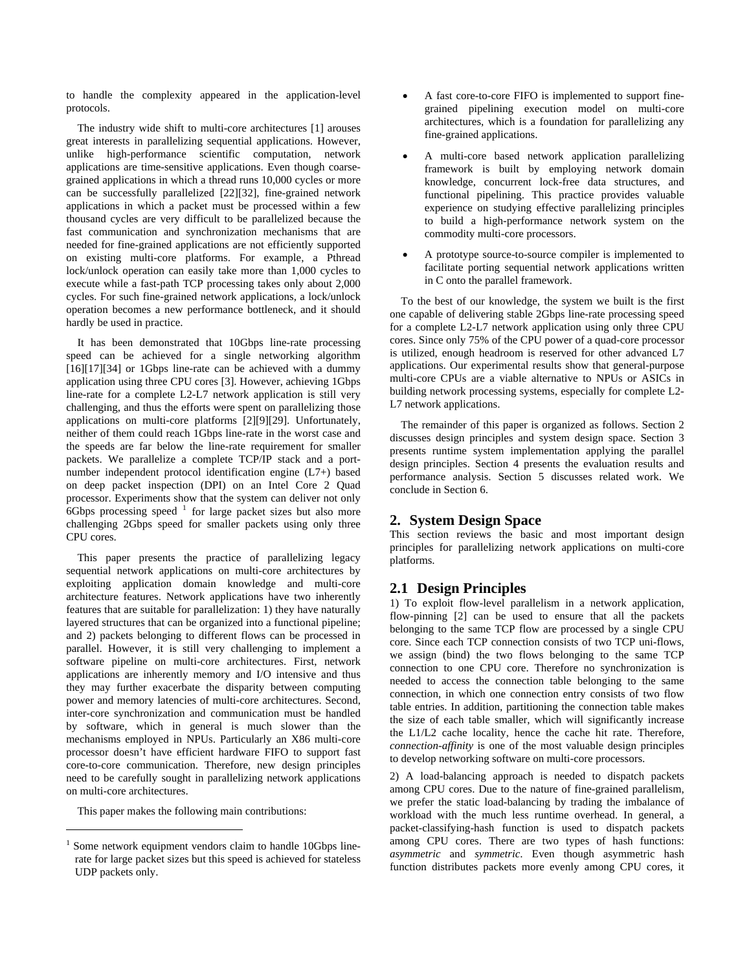to handle the complexity appeared in the application-level protocols.

 The industry wide shift to multi-core architectures [\[1\]](#page-8-0) arouses great interests in parallelizing sequential applications. However, unlike high-performance scientific computation, network applications are time-sensitive applications. Even though coarsegrained applications in which a thread runs 10,000 cycles or more can be successfully parallelized [\[22\]](#page-9-3)[\[32\]](#page-9-4), fine-grained network applications in which a packet must be processed within a few thousand cycles are very difficult to be parallelized because the fast communication and synchronization mechanisms that are needed for fine-grained applications are not efficiently supported on existing multi-core platforms. For example, a Pthread lock/unlock operation can easily take more than 1,000 cycles to execute while a fast-path TCP processing takes only about 2,000 cycles. For such fine-grained network applications, a lock/unlock operation becomes a new performance bottleneck, and it should hardly be used in practice.

 It has been demonstrated that 10Gbps line-rate processing speed can be achieved for a single networking algorithm [\[16\]](#page-9-5)[\[17\]](#page-9-6)[\[34\]](#page-9-7) or 1Gbps line-rate can be achieved with a dummy application using three CPU cores [\[3\].](#page-9-3) However, achieving 1Gbps line-rate for a complete L2-L7 network application is still very challenging, and thus the efforts were spent on parallelizing those applications on multi-core platforms [\[2\]](#page-9-0)[\[9\]](#page-9-8)[\[29\]](#page-9-9). Unfortunately, neither of them could reach 1Gbps line-rate in the worst case and the speeds are far below the line-rate requirement for smaller packets. We parallelize a complete TCP/IP stack and a portnumber independent protocol identification engine (L7+) based on deep packet inspection (DPI) on an Intel Core 2 Quad processor. Experiments show that the system can deliver not only  $6Gbps$  processing speed  $1$  for large packet sizes but also more challenging 2Gbps speed for smaller packets using only three CPU cores.

<span id="page-1-2"></span><span id="page-1-1"></span> This paper presents the practice of parallelizing legacy sequential network applications on multi-core architectures by exploiting application domain knowledge and multi-core architecture features. Network applications have two inherently features that are suitable for parallelization: 1) they have naturally layered structures that can be organized into a functional pipeline; and 2) packets belonging to different flows can be processed in parallel. However, it is still very challenging to implement a software pipeline on multi-core architectures. First, network applications are inherently memory and I/O intensive and thus they may further exacerbate the disparity between computing power and memory latencies of multi-core architectures. Second, inter-core synchronization and communication must be handled by software, which in general is much slower than the mechanisms employed in NPUs. Particularly an X86 multi-core processor doesn't have efficient hardware FIFO to support fast core-to-core communication. Therefore, new design principles need to be carefully sought in parallelizing network applications on multi-core architectures.

This paper makes the following main contributions:

 $\overline{a}$ 

- A fast core-to-core FIFO is implemented to support finegrained pipelining execution model on multi-core architectures, which is a foundation for parallelizing any fine-grained applications.
- A multi-core based network application parallelizing framework is built by employing network domain knowledge, concurrent lock-free data structures, and functional pipelining. This practice provides valuable experience on studying effective parallelizing principles to build a high-performance network system on the commodity multi-core processors.
- A prototype source-to-source compiler is implemented to facilitate porting sequential network applications written in C onto the parallel framework.

 To the best of our knowledge, the system we built is the first one capable of delivering stable 2Gbps line-rate processing speed for a complete L2-L7 network application using only three CPU cores. Since only 75% of the CPU power of a quad-core processor is utilized, enough headroom is reserved for other advanced L7 applications. Our experimental results show that general-purpose multi-core CPUs are a viable alternative to NPUs or ASICs in building network processing systems, especially for complete L2- L7 network applications.

 The remainder of this paper is organized as follows. Section [2](#page-1-1) discusses design principles and system design space. Section [3](#page-2-0) presents runtime system implementation applying the parallel design principles. Section [4](#page-5-0) presents the evaluation results and performance analysis. Section [5](#page-8-1) discusses related work. We conclude in Section [6.](#page-8-2)

## **2. System Design Space**

This section reviews the basic and most important design principles for parallelizing network applications on multi-core platforms.

## **2.1 Design Principles**

1) To exploit flow-level parallelism in a network application, flow-pinning [\[2\]](#page-9-0) can be used to ensure that all the packets belonging to the same TCP flow are processed by a single CPU core. Since each TCP connection consists of two TCP uni-flows, we assign (bind) the two flows belonging to the same TCP connection to one CPU core. Therefore no synchronization is needed to access the connection table belonging to the same connection, in which one connection entry consists of two flow table entries. In addition, partitioning the connection table makes the size of each table smaller, which will significantly increase the L1/L2 cache locality, hence the cache hit rate. Therefore, *connection-affinity* is one of the most valuable design principles to develop networking software on multi-core processors.

2) A load-balancing approach is needed to dispatch packets among CPU cores. Due to the nature of fine-grained parallelism, we prefer the static load-balancing by trading the imbalance of workload with the much less runtime overhead. In general, a packet-classifying-hash function is used to dispatch packets among CPU cores. There are two types of hash functions: *asymmetric* and *symmetric*. Even though asymmetric hash function distributes packets more evenly among CPU cores, it

<span id="page-1-0"></span><sup>1</sup> Some network equipment vendors claim to handle 10Gbps linerate for large packet sizes but this speed is achieved for stateless UDP packets only.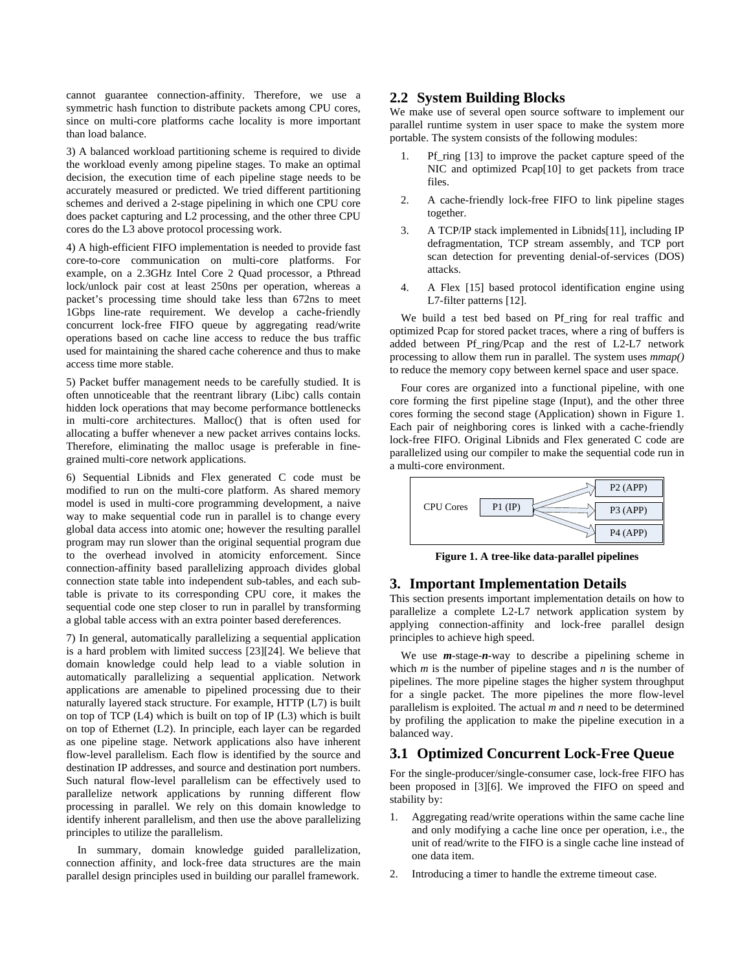cannot guarantee connection-affinity. Therefore, we use a symmetric hash function to distribute packets among CPU cores, since on multi-core platforms cache locality is more important than load balance.

3) A balanced workload partitioning scheme is required to divide the workload evenly among pipeline stages. To make an optimal decision, the execution time of each pipeline stage needs to be accurately measured or predicted. We tried different partitioning schemes and derived a 2-stage pipelining in which one CPU core does packet capturing and L2 processing, and the other three CPU cores do the L3 above protocol processing work.

4) A high-efficient FIFO implementation is needed to provide fast core-to-core communication on multi-core platforms. For example, on a 2.3GHz Intel Core 2 Quad processor, a Pthread lock/unlock pair cost at least 250ns per operation, whereas a packet's processing time should take less than 672ns to meet 1Gbps line-rate requirement. We develop a cache-friendly concurrent lock-free FIFO queue by aggregating read/write operations based on cache line access to reduce the bus traffic used for maintaining the shared cache coherence and thus to make access time more stable.

5) Packet buffer management needs to be carefully studied. It is often unnoticeable that the reentrant library (Libc) calls contain hidden lock operations that may become performance bottlenecks in multi-core architectures. Malloc() that is often used for allocating a buffer whenever a new packet arrives contains locks. Therefore, eliminating the malloc usage is preferable in finegrained multi-core network applications.

<span id="page-2-1"></span>6) Sequential Libnids and Flex generated C code must be modified to run on the multi-core platform. As shared memory model is used in multi-core programming development, a naive way to make sequential code run in parallel is to change every global data access into atomic one; however the resulting parallel program may run slower than the original sequential program due to the overhead involved in atomicity enforcement. Since connection-affinity based parallelizing approach divides global connection state table into independent sub-tables, and each subtable is private to its corresponding CPU core, it makes the sequential code one step closer to run in parallel by transforming a global table access with an extra pointer based dereferences.

<span id="page-2-0"></span>7) In general, automatically parallelizing a sequential application is a hard problem with limited success [\[23\]](#page-9-10)[\[24\]](#page-9-11). We believe that domain knowledge could help lead to a viable solution in automatically parallelizing a sequential application. Network applications are amenable to pipelined processing due to their naturally layered stack structure. For example, HTTP (L7) is built on top of TCP (L4) which is built on top of IP (L3) which is built on top of Ethernet (L2). In principle, each layer can be regarded as one pipeline stage. Network applications also have inherent flow-level parallelism. Each flow is identified by the source and destination IP addresses, and source and destination port numbers. Such natural flow-level parallelism can be effectively used to parallelize network applications by running different flow processing in parallel. We rely on this domain knowledge to identify inherent parallelism, and then use the above parallelizing principles to utilize the parallelism.

<span id="page-2-2"></span> In summary, domain knowledge guided parallelization, connection affinity, and lock-free data structures are the main parallel design principles used in building our parallel framework.

# **2.2 System Building Blocks**

We make use of several open source software to implement our parallel runtime system in user space to make the system more portable. The system consists of the following modules:

- 1. Pf\_ring [\[13\]](#page-9-12) to improve the packet capture speed of the NIC and optimized Pcap[\[10\]](#page-9-13) to get packets from trace files.
- 2. A cache-friendly lock-free FIFO to link pipeline stages together.
- 3. A TCP/IP stack implemented in Libnid[s\[11\],](#page-9-14) including IP defragmentation, TCP stream assembly, and TCP port scan detection for preventing denial-of-services (DOS) attacks.
- 4. A Flex [\[15\]](#page-9-15) based protocol identification engine using L7-filter patterns [\[12\]](#page-9-16).

 We build a test bed based on Pf\_ring for real traffic and optimized Pcap for stored packet traces, where a ring of buffers is added between Pf\_ring/Pcap and the rest of L2-L7 network processing to allow them run in parallel. The system uses *mmap()* to reduce the memory copy between kernel space and user space.

 Four cores are organized into a functional pipeline, with one core forming the first pipeline stage (Input), and the other three cores forming the second stage (Application) shown in [Figure 1.](#page-2-1) Each pair of neighboring cores is linked with a cache-friendly lock-free FIFO. Original Libnids and Flex generated C code are parallelized using our compiler to make the sequential code run in a multi-core environment.



**Figure 1. A tree-like data-parallel pipelines** 

# **3. Important Implementation Details**

This section presents important implementation details on how to parallelize a complete L2-L7 network application system by applying connection-affinity and lock-free parallel design principles to achieve high speed.

 We use *m*-stage-*n*-way to describe a pipelining scheme in which  $m$  is the number of pipeline stages and  $n$  is the number of pipelines. The more pipeline stages the higher system throughput for a single packet. The more pipelines the more flow-level parallelism is exploited. The actual *m* and *n* need to be determined by profiling the application to make the pipeline execution in a balanced way.

# **3.1 Optimized Concurrent Lock-Free Queue**

For the single-producer/single-consumer case, lock-free FIFO has been proposed in [\[3\]](#page-9-3)[\[6\].](#page-9-17) We improved the FIFO on speed and stability by:

- 1. Aggregating read/write operations within the same cache line and only modifying a cache line once per operation, i.e., the unit of read/write to the FIFO is a single cache line instead of one data item.
- 2. Introducing a timer to handle the extreme timeout case.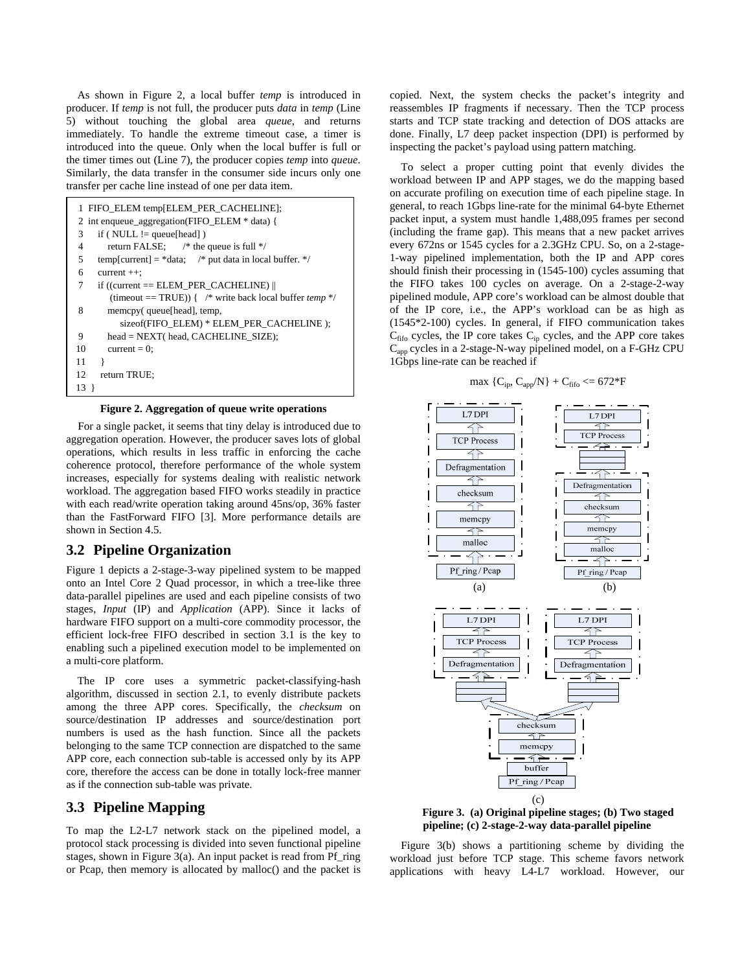As shown in [Figure 2,](#page-3-0) a local buffer *temp* is introduced in producer. If *temp* is not full, the producer puts *data* in *temp* (Line 5) without touching the global area *queue*, and returns immediately. To handle the extreme timeout case, a timer is introduced into the queue. Only when the local buffer is full or the timer times out (Line 7), the producer copies *temp* into *queue*. Similarly, the data transfer in the consumer side incurs only one transfer per cache line instead of one per data item.

| 1 FIFO_ELEM temp[ELEM_PER_CACHELINE];                          | general, to reach 1 Gbps line-rate for the minimal 64-b                        |
|----------------------------------------------------------------|--------------------------------------------------------------------------------|
| 2 int enqueue_aggregation(FIFO_ELEM * data) {                  | packet input, a system must handle 1,488,095 frame                             |
| if ( $NULL := queue[head]$ )<br>3                              | (including the frame gap). This means that a new pa                            |
| return FALSE; $/*$ the queue is full $*/$                      | every 672ns or 1545 cycles for a 2.3GHz CPU. So, or                            |
| temp[current] = $*$ data; /* put data in local buffer. */      | 1-way pipelined implementation, both the IP and                                |
| $current++:$<br>6                                              | should finish their processing in (1545-100) cycles a                          |
| if $((current == ELEM_PER_CACHELINE)$                          | the FIFO takes 100 cycles on average. On a 2-                                  |
| (timeout == TRUE)) { /* write back local buffer <i>temp</i> */ | pipelined module, APP core's workload can be almos                             |
| 8<br>memcpy(queue[head], temp,                                 | of the IP core, i.e., the APP's workload can be                                |
| sizeof(FIFO_ELEM) * ELEM_PER_CACHELINE);                       | $(1545*2-100)$ cycles. In general, if FIFO communi                             |
| head = NEXT( head, CACHELINE_SIZE);<br>9                       | $C_{\text{fifo}}$ cycles, the IP core takes $C_{\text{in}}$ cycles, and the AP |
| 10<br>current = $0$ ;                                          | C <sub>app</sub> cycles in a 2-stage-N-way pipelined model, on a               |
| 11                                                             | 1 Gbps line-rate can be reached if                                             |
| return TRUE:<br>12                                             |                                                                                |
| 13 }                                                           | max $\{C_{ip}, C_{app}/N\} + C_{\text{fifo}} \le 672*F$                        |
|                                                                |                                                                                |

**Figure 2. Aggregation of queue write operations** 

<span id="page-3-0"></span>For a single packet, it seems that tiny delay is introduced due to aggregation operation. However, the producer saves lots of global operations, which results in less traffic in enforcing the cache coherence protocol, therefore performance of the whole system increases, especially for systems dealing with realistic network workload. The aggregation based FIFO works steadily in practice with each read/write operation taking around 45ns/op, 36% faster than the FastForward FIFO [\[3\]](#page-9-3). More performance details are shown in Section [4.5.](#page-7-0)

## <span id="page-3-2"></span>**3.2 Pipeline Organization**

[Figure 1](#page-2-1) depicts a 2-stage-3-way pipelined system to be mapped onto an Intel Core 2 Quad processor, in which a tree-like three data-parallel pipelines are used and each pipeline consists of two stages, *Input* (IP) and *Application* (APP). Since it lacks of hardware FIFO support on a multi-core commodity processor, the efficient lock-free FIFO described in section [3.1](#page-2-2) is the key to enabling such a pipelined execution model to be implemented on a multi-core platform.

 The IP core uses a symmetric packet-classifying-hash algorithm, discussed in section [2.1,](#page-1-2) to evenly distribute packets among the three APP cores. Specifically, the *checksum* on source/destination IP addresses and source/destination port numbers is used as the hash function. Since all the packets belonging to the same TCP connection are dispatched to the same APP core, each connection sub-table is accessed only by its APP core, therefore the access can be done in totally lock-free manner as if the connection sub-table was private.

# <span id="page-3-1"></span>**3.3 Pipeline Mapping**

To map the L2-L7 network stack on the pipelined model, a protocol stack processing is divided into seven functional pipeline stages, shown in [Figure 3](#page-3-1)(a). An input packet is read from Pf\_ring or Pcap, then memory is allocated by malloc() and the packet is

copied. Next, the system checks the packet's integrity and reassembles IP fragments if necessary. Then the TCP process starts and TCP state tracking and detection of DOS attacks are done. Finally, L7 deep packet inspection (DPI) is performed by inspecting the packet's payload using pattern matching.

 To select a proper cutting point that evenly divides the workload between IP and APP stages, we do the mapping based on accurate profiling on execution time of each pipeline stage. In general, to reach 1Gbps line-rate for the minimal 64-byte Ethernet packet input, a system must handle 1,488,095 frames per second (including the frame gap). This means that a new packet arrives every 672ns or 1545 cycles for a 2.3GHz CPU. So, on a 2-stage-1-way pipelined implementation, both the IP and APP cores should finish their processing in (1545-100) cycles assuming that the FIFO takes 100 cycles on average. On a 2-stage-2-way pipelined module, APP core's workload can be almost double that of the IP core, i.e., the APP's workload can be as high as (1545\*2-100) cycles. In general, if FIFO communication takes  $C_{\text{fifo}}$  cycles, the IP core takes  $C_{\text{ip}}$  cycles, and the APP core takes Capp cycles in a 2-stage-N-way pipelined model, on a F-GHz CPU 1Gbps line-rate can be reached if

$$
max \{C_{ip}, C_{app}/N\} + C_{\text{fifo}} \leq 672*F
$$



**Figure 3. (a) Original pipeline stages; (b) Two staged pipeline; (c) 2-stage-2-way data-parallel pipeline** 

 [Figure 3\(](#page-3-1)b) shows a partitioning scheme by dividing the workload just before TCP stage. This scheme favors network applications with heavy L4-L7 workload. However, our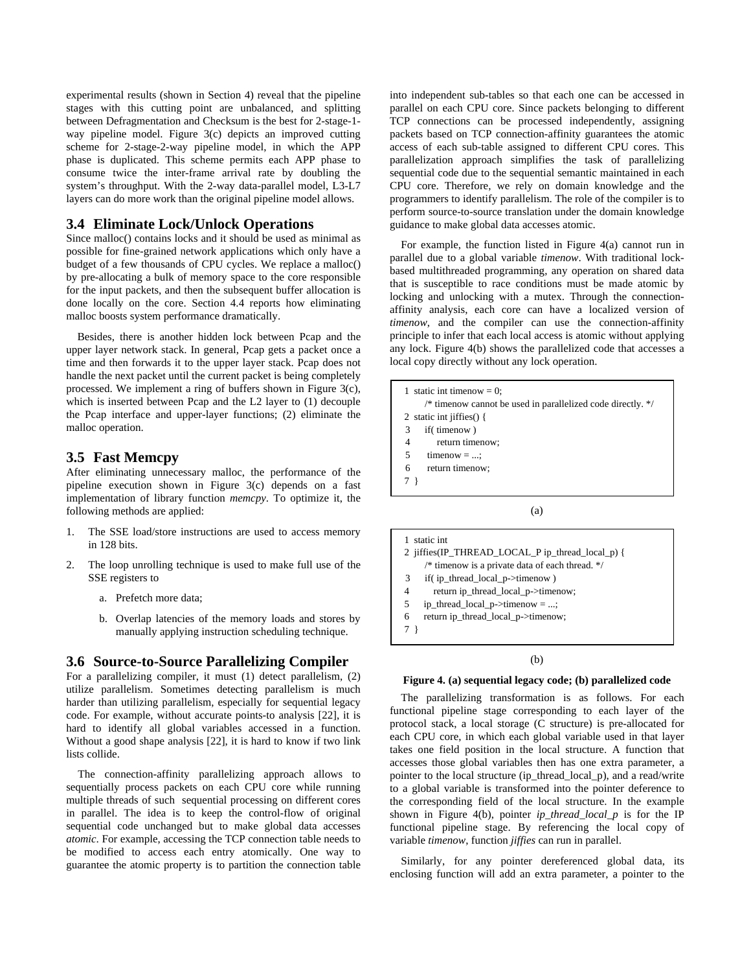experimental results (shown in Section [4](#page-5-0)) reveal that the pipeline stages with this cutting point are unbalanced, and splitting between Defragmentation and Checksum is the best for 2-stage-1 way pipeline model. [Figure 3\(](#page-3-1)c) depicts an improved cutting scheme for 2-stage-2-way pipeline model, in which the APP phase is duplicated. This scheme permits each APP phase to consume twice the inter-frame arrival rate by doubling the system's throughput. With the 2-way data-parallel model, L3-L7 layers can do more work than the original pipeline model allows.

# **3.4 Eliminate Lock/Unlock Operations**

Since malloc() contains locks and it should be used as minimal as possible for fine-grained network applications which only have a budget of a few thousands of CPU cycles. We replace a malloc() by pre-allocating a bulk of memory space to the core responsible for the input packets, and then the subsequent buffer allocation is done locally on the core. Section [4.4](#page-6-0) reports how eliminating malloc boosts system performance dramatically.

 Besides, there is another hidden lock between Pcap and the upper layer network stack. In general, Pcap gets a packet once a time and then forwards it to the upper layer stack. Pcap does not handle the next packet until the current packet is being completely processed. We implement a ring of buffers shown in [Figure 3\(](#page-3-1)c), which is inserted between Pcap and the L2 layer to (1) decouple the Pcap interface and upper-layer functions; (2) eliminate the malloc operation.

# **3.5 Fast Memcpy**

After eliminating unnecessary malloc, the performance of the pipeline execution shown in [Figure 3\(](#page-3-1)c) depends on a fast implementation of library function *memcpy*. To optimize it, the following methods are applied:

- 1. The SSE load/store instructions are used to access memory in 128 bits.
- 2. The loop unrolling technique is used to make full use of the SSE registers to
	- a. Prefetch more data;
	- b. Overlap latencies of the memory loads and stores by manually applying instruction scheduling technique.

## **3.6 Source-to-Source Parallelizing Compiler**

<span id="page-4-0"></span>For a parallelizing compiler, it must (1) detect parallelism, (2) utilize parallelism. Sometimes detecting parallelism is much harder than utilizing parallelism, especially for sequential legacy code. For example, without accurate points-to analysis [\[22\],](#page-9-3) it is hard to identify all global variables accessed in a function. Without a good shape analysis [\[22\],](#page-9-3) it is hard to know if two link lists collide.

The connection-affinity parallelizing approach allows to sequentially process packets on each CPU core while running multiple threads of such sequential processing on different cores in parallel. The idea is to keep the control-flow of original sequential code unchanged but to make global data accesses *atomic*. For example, accessing the TCP connection table needs to be modified to access each entry atomically. One way to guarantee the atomic property is to partition the connection table into independent sub-tables so that each one can be accessed in parallel on each CPU core. Since packets belonging to different TCP connections can be processed independently, assigning packets based on TCP connection-affinity guarantees the atomic access of each sub-table assigned to different CPU cores. This parallelization approach simplifies the task of parallelizing sequential code due to the sequential semantic maintained in each CPU core. Therefore, we rely on domain knowledge and the programmers to identify parallelism. The role of the compiler is to perform source-to-source translation under the domain knowledge guidance to make global data accesses atomic.

 For example, the function listed in [Figure 4\(](#page-4-0)a) cannot run in parallel due to a global variable *timenow*. With traditional lockbased multithreaded programming, any operation on shared data that is susceptible to race conditions must be made atomic by locking and unlocking with a mutex. Through the connectionaffinity analysis, each core can have a localized version of *timenow*, and the compiler can use the connection-affinity principle to infer that each local access is atomic without applying any lock. [Figure 4\(](#page-4-0)b) shows the parallelized code that accesses a local copy directly without any lock operation.

1 static int timenow  $= 0$ ; /\* timenow cannot be used in parallelized code directly. \*/ 2 static int jiffies() { 3 if( timenow ) 4 return timenow;  $5$  timenow = ...; 6 return timenow; 7 }

(a)

1 static int 2 jiffies(IP\_THREAD\_LOCAL\_P ip\_thread\_local\_p) { /\* timenow is a private data of each thread. \*/ 3 if( ip\_thread\_local\_p->timenow ) 4 return ip\_thread\_local\_p->timenow; 5 ip\_thread\_local\_p->timenow = ...; 6 return ip\_thread\_local\_p->timenow; 7 }

#### (b)

#### **Figure 4. (a) sequential legacy code; (b) parallelized code**

 The parallelizing transformation is as follows. For each functional pipeline stage corresponding to each layer of the protocol stack, a local storage (C structure) is pre-allocated for each CPU core, in which each global variable used in that layer takes one field position in the local structure. A function that accesses those global variables then has one extra parameter, a pointer to the local structure (ip\_thread\_local\_p), and a read/write to a global variable is transformed into the pointer deference to the corresponding field of the local structure. In the example shown in [Figure 4](#page-4-0)(b), pointer *ip\_thread\_local\_p* is for the IP functional pipeline stage. By referencing the local copy of variable *timenow*, function *jiffies* can run in parallel.

 Similarly, for any pointer dereferenced global data, its enclosing function will add an extra parameter, a pointer to the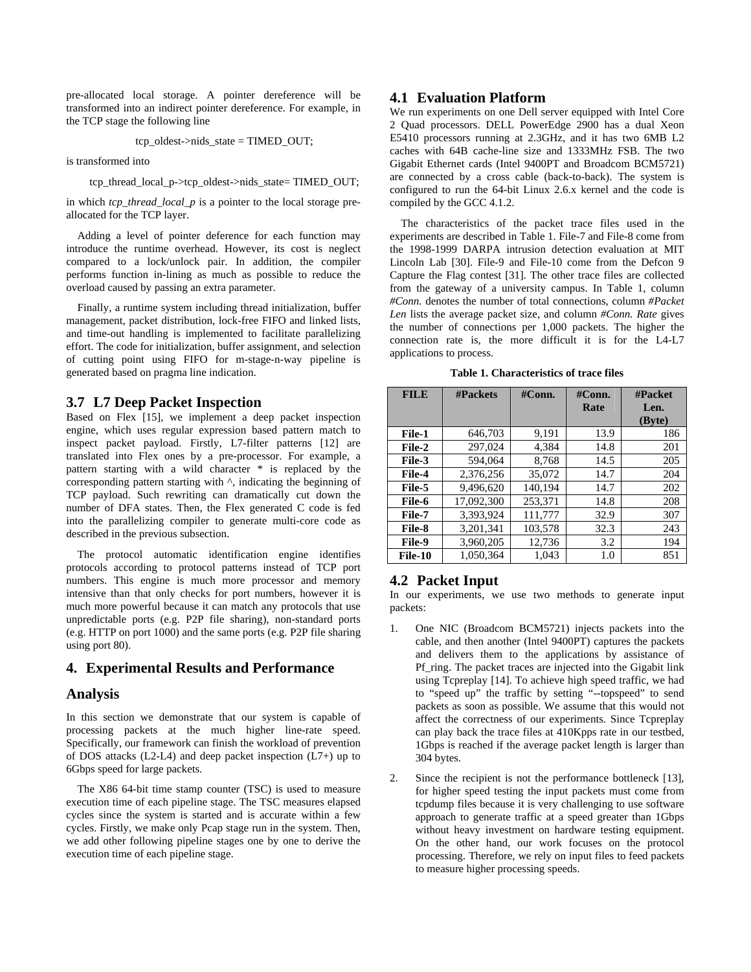pre-allocated local storage. A pointer dereference will be transformed into an indirect pointer dereference. For example, in the TCP stage the following line

tcp\_oldest->nids\_state = TIMED\_OUT;

is transformed into

tcp\_thread\_local\_p->tcp\_oldest->nids\_state= TIMED\_OUT;

in which *tcp\_thread\_local\_p* is a pointer to the local storage preallocated for the TCP layer.

 Adding a level of pointer deference for each function may introduce the runtime overhead. However, its cost is neglect compared to a lock/unlock pair. In addition, the compiler performs function in-lining as much as possible to reduce the overload caused by passing an extra parameter.

 Finally, a runtime system including thread initialization, buffer management, packet distribution, lock-free FIFO and linked lists, and time-out handling is implemented to facilitate parallelizing effort. The code for initialization, buffer assignment, and selection of cutting point using FIFO for m-stage-n-way pipeline is generated based on pragma line indication.

## <span id="page-5-1"></span>**3.7 L7 Deep Packet Inspection**

Based on Flex [\[15\]](#page-9-15), we implement a deep packet inspection engine, which uses regular expression based pattern match to inspect packet payload. Firstly, L7-filter patterns [\[12\]](#page-9-16) are translated into Flex ones by a pre-processor. For example, a pattern starting with a wild character \* is replaced by the corresponding pattern starting with ^, indicating the beginning of TCP payload. Such rewriting can dramatically cut down the number of DFA states. Then, the Flex generated C code is fed into the parallelizing compiler to generate multi-core code as described in the previous subsection.

 The protocol automatic identification engine identifies protocols according to protocol patterns instead of TCP port numbers. This engine is much more processor and memory intensive than that only checks for port numbers, however it is much more powerful because it can match any protocols that use unpredictable ports (e.g. P2P file sharing), non-standard ports (e.g. HTTP on port 1000) and the same ports (e.g. P2P file sharing using port 80).

# <span id="page-5-0"></span>**4. Experimental Results and Performance**

## **Analysis**

In this section we demonstrate that our system is capable of processing packets at the much higher line-rate speed. Specifically, our framework can finish the workload of prevention of DOS attacks  $(L2-L4)$  and deep packet inspection  $(L7+)$  up to 6Gbps speed for large packets.

 The X86 64-bit time stamp counter (TSC) is used to measure execution time of each pipeline stage. The TSC measures elapsed cycles since the system is started and is accurate within a few cycles. Firstly, we make only Pcap stage run in the system. Then, we add other following pipeline stages one by one to derive the execution time of each pipeline stage.

## **4.1 Evaluation Platform**

We run experiments on one Dell server equipped with Intel Core 2 Quad processors. DELL PowerEdge 2900 has a dual Xeon E5410 processors running at 2.3GHz, and it has two 6MB L2 caches with 64B cache-line size and 1333MHz FSB. The two Gigabit Ethernet cards (Intel 9400PT and Broadcom BCM5721) are connected by a cross cable (back-to-back). The system is configured to run the 64-bit Linux 2.6.x kernel and the code is compiled by the GCC 4.1.2.

 The characteristics of the packet trace files used in the experiments are described in [Table 1](#page-5-1). File-7 and File-8 come from the 1998-1999 DARPA intrusion detection evaluation at MIT Lincoln Lab [\[30\]](#page-9-18). File-9 and File-10 come from the Defcon 9 Capture the Flag contest [\[31\].](#page-9-19) The other trace files are collected from the gateway of a university campus. In [Table 1,](#page-5-1) column *#Conn.* denotes the number of total connections, column *#Packet Len* lists the average packet size, and column *#Conn. Rate* gives the number of connections per 1,000 packets. The higher the connection rate is, the more difficult it is for the L4-L7 applications to process.

**Table 1. Characteristics of trace files** 

| <b>FILE</b> | <b>#Packets</b> | $\#Conn.$ | $\#Conn.$<br>Rate | #Packet<br>Len.<br>(Byte) |
|-------------|-----------------|-----------|-------------------|---------------------------|
| File-1      | 646,703         | 9,191     | 13.9              | 186                       |
| File-2      | 297,024         | 4,384     | 14.8              | 201                       |
| File-3      | 594.064         | 8,768     | 14.5              | 205                       |
| File-4      | 2,376,256       | 35,072    | 14.7              | 204                       |
| File-5      | 9.496.620       | 140,194   | 14.7              | 202                       |
| File-6      | 17,092,300      | 253,371   | 14.8              | 208                       |
| File-7      | 3.393.924       | 111,777   | 32.9              | 307                       |
| File-8      | 3.201.341       | 103,578   | 32.3              | 243                       |
| File-9      | 3,960,205       | 12,736    | 3.2               | 194                       |
| File-10     | 1,050,364       | 1.043     | 1.0               | 851                       |

## **4.2 Packet Input**

In our experiments, we use two methods to generate input packets:

- 1. One NIC (Broadcom BCM5721) injects packets into the cable, and then another (Intel 9400PT) captures the packets and delivers them to the applications by assistance of Pf\_ring. The packet traces are injected into the Gigabit link using Tcpreplay [\[14\]](#page-9-20). To achieve high speed traffic, we had to "speed up" the traffic by setting "--topspeed" to send packets as soon as possible. We assume that this would not affect the correctness of our experiments. Since Tcpreplay can play back the trace files at 410Kpps rate in our testbed, 1Gbps is reached if the average packet length is larger than 304 bytes.
- Since the recipient is not the performance bottleneck [\[13\],](#page-9-12) for higher speed testing the input packets must come from tcpdump files because it is very challenging to use software approach to generate traffic at a speed greater than 1Gbps without heavy investment on hardware testing equipment. On the other hand, our work focuses on the protocol processing. Therefore, we rely on input files to feed packets to measure higher processing speeds.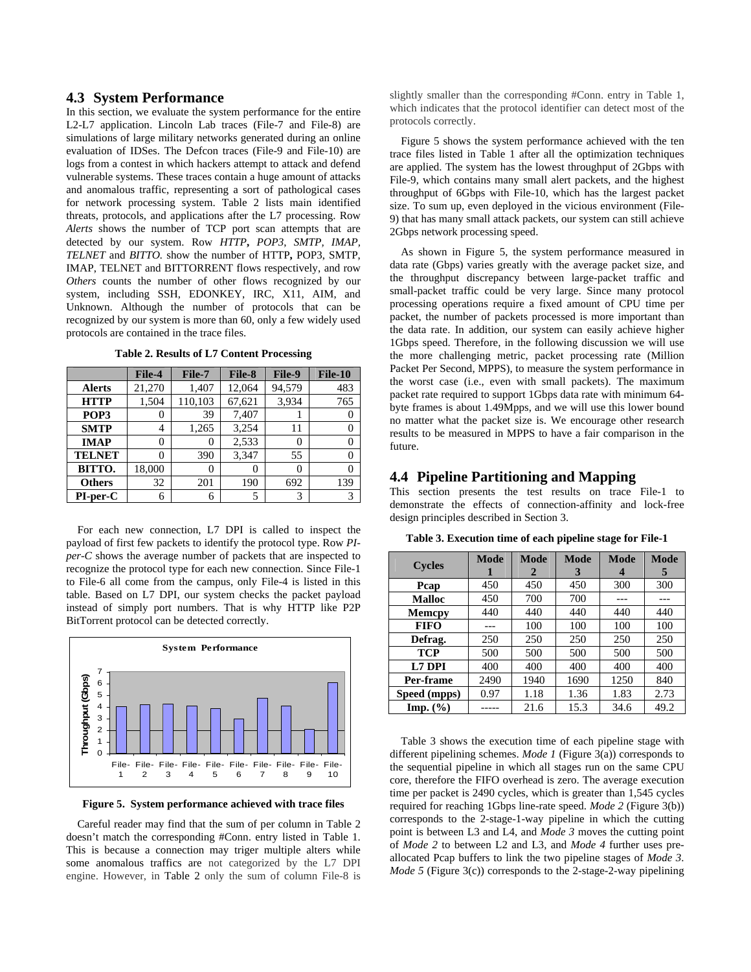## **4.3 System Performance**

In this section, we evaluate the system performance for the entire L2-L7 application. Lincoln Lab traces (File-7 and File-8) are simulations of large military networks generated during an online evaluation of IDSes. The Defcon traces (File-9 and File-10) are logs from a contest in which hackers attempt to attack and defend vulnerable systems. These traces contain a huge amount of attacks and anomalous traffic, representing a sort of pathological cases for network processing system. [Table 2](#page-6-1) lists main identified threats, protocols, and applications after the L7 processing. Row *Alerts* shows the number of TCP port scan attempts that are detected by our system. Row *HTTP***,** *POP3*, *SMTP, IMAP, TELNET* and *BITTO.* show the number of HTTP**,** POP3, SMTP, IMAP, TELNET and BITTORRENT flows respectively, and row *Others* counts the number of other flows recognized by our system, including SSH, EDONKEY, IRC, X11, AIM, and Unknown. Although the number of protocols that can be recognized by our system is more than 60, only a few widely used protocols are contained in the trace files.

<span id="page-6-1"></span>

|               | File-4 | File-7   | File-8 | File-9            | File-10 |
|---------------|--------|----------|--------|-------------------|---------|
| <b>Alerts</b> | 21,270 | 1,407    | 12,064 | 94,579            | 483     |
| <b>HTTP</b>   | 1,504  | 110,103  | 67,621 | 3,934             | 765     |
| POP3          | O      | 39       | 7,407  |                   |         |
| <b>SMTP</b>   | 4      | 1,265    | 3,254  | 11                |         |
| <b>IMAP</b>   | 0      | $\theta$ | 2,533  | $\mathbf{\Omega}$ |         |
| <b>TELNET</b> | 0      | 390      | 3.347  | 55                |         |
| BITTO.        | 18,000 | $\theta$ | 0      |                   |         |
| <b>Others</b> | 32     | 201      | 190    | 692               | 139     |
| $PI-per-C$    | 6      | 6        | 5      | 3                 | 3       |

**Table 2. Results of L7 Content Processing** 

<span id="page-6-3"></span><span id="page-6-0"></span> For each new connection, L7 DPI is called to inspect the payload of first few packets to identify the protocol type. Row *PIper-C* shows the average number of packets that are inspected to recognize the protocol type for each new connection. Since File-1 to File-6 all come from the campus, only File-4 is listed in this table. Based on L7 DPI, our system checks the packet payload instead of simply port numbers. That is why HTTP like P2P BitTorrent protocol can be detected correctly.



**Figure 5. System performance achieved with trace files** 

<span id="page-6-2"></span> Careful reader may find that the sum of per column in [Table 2](#page-6-1) doesn't match the corresponding #Conn. entry listed in [Table 1.](#page-5-1) This is because a connection may triger multiple alters while some anomalous traffics are not categorized by the L7 DPI engine. However, in [Table 2](#page-6-1) only the sum of column File-8 is

slightly smaller than the corresponding #Conn. entry in Table 1, which indicates that the protocol identifier can detect most of the protocols correctly.

 [Figure 5](#page-6-2) shows the system performance achieved with the ten trace files listed in [Table 1](#page-5-1) after all the optimization techniques are applied. The system has the lowest throughput of 2Gbps with File-9, which contains many small alert packets, and the highest throughput of 6Gbps with File-10, which has the largest packet size. To sum up, even deployed in the vicious environment (File-9) that has many small attack packets, our system can still achieve 2Gbps network processing speed.

 As shown in [Figure 5,](#page-6-2) the system performance measured in data rate (Gbps) varies greatly with the average packet size, and the throughput discrepancy between large-packet traffic and small-packet traffic could be very large. Since many protocol processing operations require a fixed amount of CPU time per packet, the number of packets processed is more important than the data rate. In addition, our system can easily achieve higher 1Gbps speed. Therefore, in the following discussion we will use the more challenging metric, packet processing rate (Million Packet Per Second, MPPS), to measure the system performance in the worst case (i.e., even with small packets). The maximum packet rate required to support 1Gbps data rate with minimum 64 byte frames is about 1.49Mpps, and we will use this lower bound no matter what the packet size is. We encourage other research results to be measured in MPPS to have a fair comparison in the future.

# **4.4 Pipeline Partitioning and Mapping**

This section presents the test results on trace File-1 to demonstrate the effects of connection-affinity and lock-free design principles described in Section [3.](#page-2-0)

| <b>Cycles</b> | Mode | Mode<br>2 | <b>Mode</b><br>3 | Mode<br>4 | <b>Mode</b><br>5 |
|---------------|------|-----------|------------------|-----------|------------------|
| Pcap          | 450  | 450       | 450              | 300       | 300              |
| <b>Malloc</b> | 450  | 700       | 700              |           |                  |
| <b>Memcpy</b> | 440  | 440       | 440              | 440       | 440              |
| <b>FIFO</b>   |      | 100       | 100              | 100       | 100              |
| Defrag.       | 250  | 250       | 250              | 250       | 250              |
| <b>TCP</b>    | 500  | 500       | 500              | 500       | 500              |
| L7 DPI        | 400  | 400       | 400              | 400       | 400              |
| Per-frame     | 2490 | 1940      | 1690             | 1250      | 840              |
| Speed (mpps)  | 0.97 | 1.18      | 1.36             | 1.83      | 2.73             |
| Imp. $(\% )$  |      | 21.6      | 15.3             | 34.6      | 49.2             |

**Table 3. Execution time of each pipeline stage for File-1** 

 [Table 3](#page-6-3) shows the execution time of each pipeline stage with different pipelining schemes. *Mode 1* ([Figure 3\(](#page-3-1)a)) corresponds to the sequential pipeline in which all stages run on the same CPU core, therefore the FIFO overhead is zero. The average execution time per packet is 2490 cycles, which is greater than 1,545 cycles required for reaching 1Gbps line-rate speed. *Mode 2* [\(Figure 3\(](#page-3-1)b)) corresponds to the 2-stage-1-way pipeline in which the cutting point is between L3 and L4, and *Mode 3* moves the cutting point of *Mode 2* to between L2 and L3, and *Mode 4* further uses preallocated Pcap buffers to link the two pipeline stages of *Mode 3*. *Mode 5* [\(Figure 3\(](#page-3-1)c)) corresponds to the 2-stage-2-way pipelining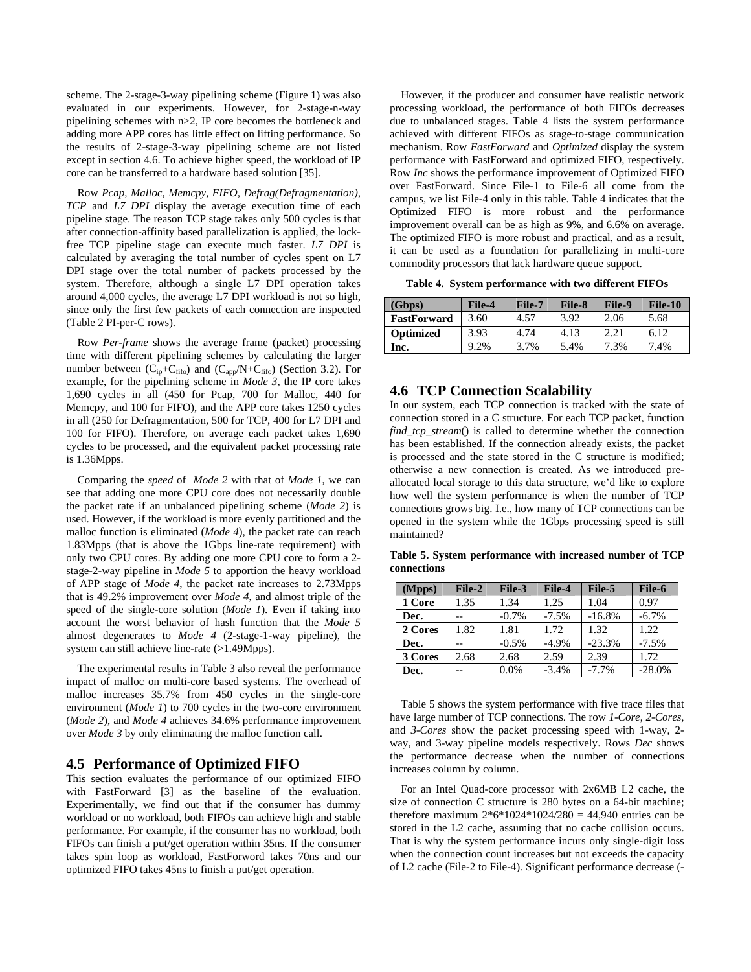scheme. The 2-stage-3-way pipelining scheme ([Figure 1\)](#page-2-1) was also evaluated in our experiments. However, for 2-stage-n-way pipelining schemes with n>2, IP core becomes the bottleneck and adding more APP cores has little effect on lifting performance. So the results of 2-stage-3-way pipelining scheme are not listed except in section [4.6.](#page-7-1) To achieve higher speed, the workload of IP core can be transferred to a hardware based solution [\[35\]](#page-9-21).

 Row *Pcap, Malloc, Memcpy, FIFO, Defrag(Defragmentation), TCP* and *L7 DPI* display the average execution time of each pipeline stage. The reason TCP stage takes only 500 cycles is that after connection-affinity based parallelization is applied, the lockfree TCP pipeline stage can execute much faster. *L7 DPI* is calculated by averaging the total number of cycles spent on L7 DPI stage over the total number of packets processed by the system. Therefore, although a single L7 DPI operation takes around 4,000 cycles, the average L7 DPI workload is not so high, since only the first few packets of each connection are inspected [\(Table 2](#page-6-1) PI-per-C rows).

<span id="page-7-2"></span><span id="page-7-1"></span> Row *Per-frame* shows the average frame (packet) processing time with different pipelining schemes by calculating the larger number between  $(C_{ip}+C_{fifo})$  and  $(C_{app}/N+C_{fifo})$  (Section [3.2\)](#page-3-2). For example, for the pipelining scheme in *Mode 3*, the IP core takes 1,690 cycles in all (450 for Pcap, 700 for Malloc, 440 for Memcpy, and 100 for FIFO), and the APP core takes 1250 cycles in all (250 for Defragmentation, 500 for TCP, 400 for L7 DPI and 100 for FIFO). Therefore, on average each packet takes 1,690 cycles to be processed, and the equivalent packet processing rate is 1.36Mpps.

<span id="page-7-3"></span> Comparing the *speed* of *Mode 2* with that of *Mode 1*, we can see that adding one more CPU core does not necessarily double the packet rate if an unbalanced pipelining scheme (*Mode 2*) is used. However, if the workload is more evenly partitioned and the malloc function is eliminated (*Mode 4*), the packet rate can reach 1.83Mpps (that is above the 1Gbps line-rate requirement) with only two CPU cores. By adding one more CPU core to form a 2 stage-2-way pipeline in *Mode 5* to apportion the heavy workload of APP stage of *Mode 4*, the packet rate increases to 2.73Mpps that is 49.2% improvement over *Mode 4*, and almost triple of the speed of the single-core solution (*Mode 1*). Even if taking into account the worst behavior of hash function that the *Mode 5* almost degenerates to *Mode 4* (2-stage-1-way pipeline), the system can still achieve line-rate (>1.49Mpps).

 The experimental results in [Table 3](#page-6-3) also reveal the performance impact of malloc on multi-core based systems. The overhead of malloc increases 35.7% from 450 cycles in the single-core environment (*Mode 1*) to 700 cycles in the two-core environment (*Mode 2*), and *Mode 4* achieves 34.6% performance improvement over *Mode 3* by only eliminating the malloc function call.

## <span id="page-7-0"></span>**4.5 Performance of Optimized FIFO**

This section evaluates the performance of our optimized FIFO with FastForward [\[3\]](#page-9-3) as the baseline of the evaluation. Experimentally, we find out that if the consumer has dummy workload or no workload, both FIFOs can achieve high and stable performance. For example, if the consumer has no workload, both FIFOs can finish a put/get operation within 35ns. If the consumer takes spin loop as workload, FastForword takes 70ns and our optimized FIFO takes 45ns to finish a put/get operation.

 However, if the producer and consumer have realistic network processing workload, the performance of both FIFOs decreases due to unbalanced stages. [Table 4](#page-7-2) lists the system performance achieved with different FIFOs as stage-to-stage communication mechanism. Row *FastForward* and *Optimized* display the system performance with FastForward and optimized FIFO, respectively. Row *Inc* shows the performance improvement of Optimized FIFO over FastForward. Since File-1 to File-6 all come from the campus, we list File-4 only in this table. [Table 4](#page-7-2) indicates that the Optimized FIFO is more robust and the performance improvement overall can be as high as 9%, and 6.6% on average. The optimized FIFO is more robust and practical, and as a result, it can be used as a foundation for parallelizing in multi-core commodity processors that lack hardware queue support.

**Table 4. System performance with two different FIFOs** 

| (Gbps)             | File-4 | File-7 | File-8 | File-9 | File-10 |
|--------------------|--------|--------|--------|--------|---------|
| <b>FastForward</b> | 3.60   | 4.57   | 3.92   | 2.06   | 5.68    |
| <b>Optimized</b>   | 3.93   | 4.74   | 4.13   | 2.21   | 6.12    |
| Inc.               | 9.2%   | 3.7%   | 5.4%   | .3%    | 7.4%    |

# **4.6 TCP Connection Scalability**

In our system, each TCP connection is tracked with the state of connection stored in a C structure. For each TCP packet, function *find tcp stream*() is called to determine whether the connection has been established. If the connection already exists, the packet is processed and the state stored in the C structure is modified; otherwise a new connection is created. As we introduced preallocated local storage to this data structure, we'd like to explore how well the system performance is when the number of TCP connections grows big. I.e., how many of TCP connections can be opened in the system while the 1Gbps processing speed is still maintained?

**Table 5. System performance with increased number of TCP connections** 

| (Mpps)  | File-2 | File-3   | File-4  | File-5   | File-6    |
|---------|--------|----------|---------|----------|-----------|
| 1 Core  | 1.35   | 1.34     | 1.25    | 1.04     | 0.97      |
| Dec.    |        | $-0.7\%$ | $-7.5%$ | $-16.8%$ | $-6.7\%$  |
| 2 Cores | 1.82   | 1.81     | 1.72    | 1.32     | 1.22      |
| Dec.    |        | $-0.5%$  | $-4.9%$ | $-23.3%$ | $-7.5%$   |
| 3 Cores | 2.68   | 2.68     | 2.59    | 2.39     | 1.72      |
| Dec.    |        | 0.0%     | $-3.4%$ | $-7.7%$  | $-28.0\%$ |

 [Table 5](#page-7-3) shows the system performance with five trace files that have large number of TCP connections. The row *1-Core*, *2-Cores*, and *3-Cores* show the packet processing speed with 1-way, 2 way, and 3-way pipeline models respectively. Rows *Dec* shows the performance decrease when the number of connections increases column by column.

 For an Intel Quad-core processor with 2x6MB L2 cache, the size of connection C structure is 280 bytes on a 64-bit machine; therefore maximum  $2*6*1024*1024/280 = 44,940$  entries can be stored in the L2 cache, assuming that no cache collision occurs. That is why the system performance incurs only single-digit loss when the connection count increases but not exceeds the capacity of L2 cache (File-2 to File-4). Significant performance decrease (-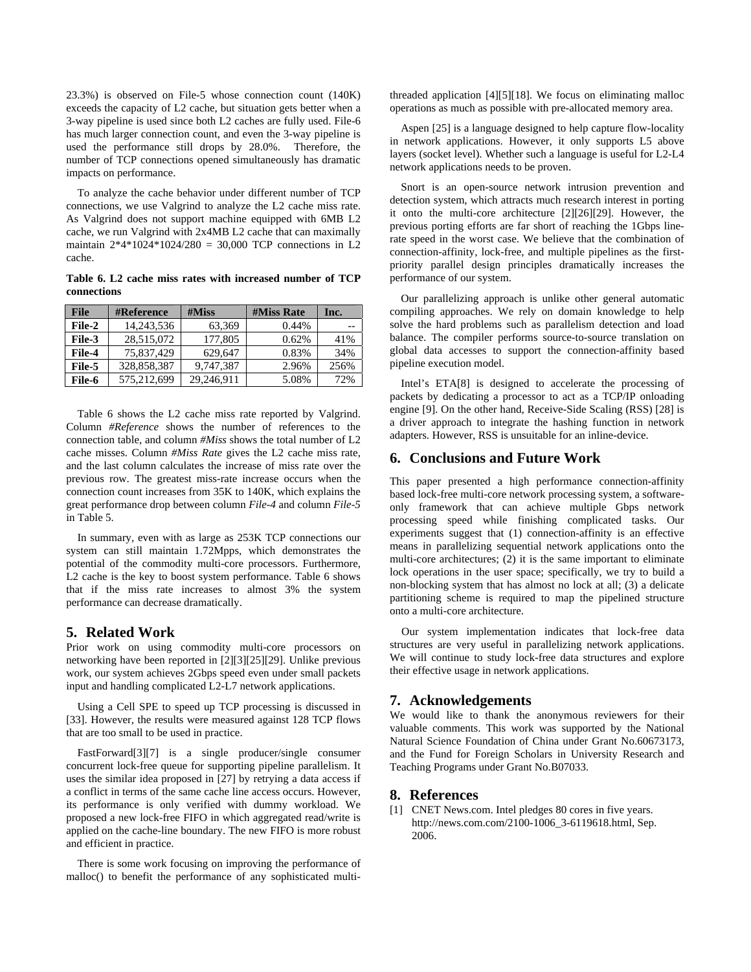23.3%) is observed on File-5 whose connection count (140K) exceeds the capacity of L2 cache, but situation gets better when a 3-way pipeline is used since both L2 caches are fully used. File-6 has much larger connection count, and even the 3-way pipeline is used the performance still drops by 28.0%. Therefore, the number of TCP connections opened simultaneously has dramatic impacts on performance.

 To analyze the cache behavior under different number of TCP connections, we use Valgrind to analyze the L2 cache miss rate. As Valgrind does not support machine equipped with 6MB L2 cache, we run Valgrind with 2x4MB L2 cache that can maximally maintain  $2*4*1024*1024/280 = 30,000$  TCP connections in L2 cache.

<span id="page-8-3"></span>**Table 6. L2 cache miss rates with increased number of TCP connections** 

| <b>File</b> | <b>#Reference</b> | #Miss      | <b>#Miss Rate</b> | Inc. |
|-------------|-------------------|------------|-------------------|------|
| File-2      | 14,243,536        | 63,369     | 0.44%             | --   |
| File-3      | 28,515,072        | 177,805    | 0.62%             | 41%  |
| File-4      | 75,837,429        | 629.647    | 0.83%             | 34%  |
| File-5      | 328,858,387       | 9,747,387  | 2.96%             | 256% |
| File-6      | 575.212.699       | 29,246,911 | 5.08%             | 72%  |

<span id="page-8-2"></span> [Table 6](#page-8-3) shows the L2 cache miss rate reported by Valgrind. Column *#Reference* shows the number of references to the connection table, and column *#Miss* shows the total number of L2 cache misses. Column *#Miss Rate* gives the L2 cache miss rate, and the last column calculates the increase of miss rate over the previous row. The greatest miss-rate increase occurs when the connection count increases from 35K to 140K, which explains the great performance drop between column *File-4* and column *File-5*  in [Table 5.](#page-7-3)

 In summary, even with as large as 253K TCP connections our system can still maintain 1.72Mpps, which demonstrates the potential of the commodity multi-core processors. Furthermore, L<sub>2</sub> cache is the key to boost system performance. [Table 6](#page-8-3) shows that if the miss rate increases to almost 3% the system performance can decrease dramatically.

## <span id="page-8-1"></span>**5. Related Work**

Prior work on using commodity multi-core processors on networking have been reported in [\[2\]](#page-9-0)[\[3\]](#page-9-3)[\[25\]](#page-9-22)[\[29\].](#page-9-9) Unlike previous work, our system achieves 2Gbps speed even under small packets input and handling complicated L2-L7 network applications.

 Using a Cell SPE to speed up TCP processing is discussed in [\[33\].](#page-9-23) However, the results were measured against 128 TCP flows that are too small to be used in practice.

 FastForward[\[3\]](#page-9-3)[\[7\]](#page-9-24) is a single producer/single consumer concurrent lock-free queue for supporting pipeline parallelism. It uses the similar idea proposed in [\[27\]](#page-9-25) by retrying a data access if a conflict in terms of the same cache line access occurs. However, its performance is only verified with dummy workload. We proposed a new lock-free FIFO in which aggregated read/write is applied on the cache-line boundary. The new FIFO is more robust and efficient in practice.

<span id="page-8-0"></span> There is some work focusing on improving the performance of malloc() to benefit the performance of any sophisticated multithreaded application [\[4\]](#page-9-10)[\[5\]](#page-9-11)[\[18\].](#page-9-26) We focus on eliminating malloc operations as much as possible with pre-allocated memory area.

 Aspen [\[25\]](#page-9-22) is a language designed to help capture flow-locality in network applications. However, it only supports L5 above layers (socket level). Whether such a language is useful for L2-L4 network applications needs to be proven.

 Snort is an open-source network intrusion prevention and detection system, which attracts much research interest in porting it onto the multi-core architecture [\[2\]](#page-9-0)[\[26\]](#page-9-27)[\[29\]](#page-9-9). However, the previous porting efforts are far short of reaching the 1Gbps linerate speed in the worst case. We believe that the combination of connection-affinity, lock-free, and multiple pipelines as the firstpriority parallel design principles dramatically increases the performance of our system.

 Our parallelizing approach is unlike other general automatic compiling approaches. We rely on domain knowledge to help solve the hard problems such as parallelism detection and load balance. The compiler performs source-to-source translation on global data accesses to support the connection-affinity based pipeline execution model.

 Intel's ETA[\[8\]](#page-9-28) is designed to accelerate the processing of packets by dedicating a processor to act as a TCP/IP onloading engine [\[9\].](#page-9-8) On the other hand, Receive-Side Scaling (RSS) [\[28\]](#page-9-29) is a driver approach to integrate the hashing function in network adapters. However, RSS is unsuitable for an inline-device.

# **6. Conclusions and Future Work**

This paper presented a high performance connection-affinity based lock-free multi-core network processing system, a softwareonly framework that can achieve multiple Gbps network processing speed while finishing complicated tasks. Our experiments suggest that (1) connection-affinity is an effective means in parallelizing sequential network applications onto the multi-core architectures; (2) it is the same important to eliminate lock operations in the user space; specifically, we try to build a non-blocking system that has almost no lock at all; (3) a delicate partitioning scheme is required to map the pipelined structure onto a multi-core architecture.

Our system implementation indicates that lock-free data structures are very useful in parallelizing network applications. We will continue to study lock-free data structures and explore their effective usage in network applications.

# **7. Acknowledgements**

We would like to thank the anonymous reviewers for their valuable comments. This work was supported by the National Natural Science Foundation of China under Grant No.60673173, and the Fund for Foreign Scholars in University Research and Teaching Programs under Grant No.B07033.

# **8. References**

[1] CNET News.com. Intel pledges 80 cores in five years. http://news.com.com/2100-1006\_3-6119618.html, Sep. 2006.